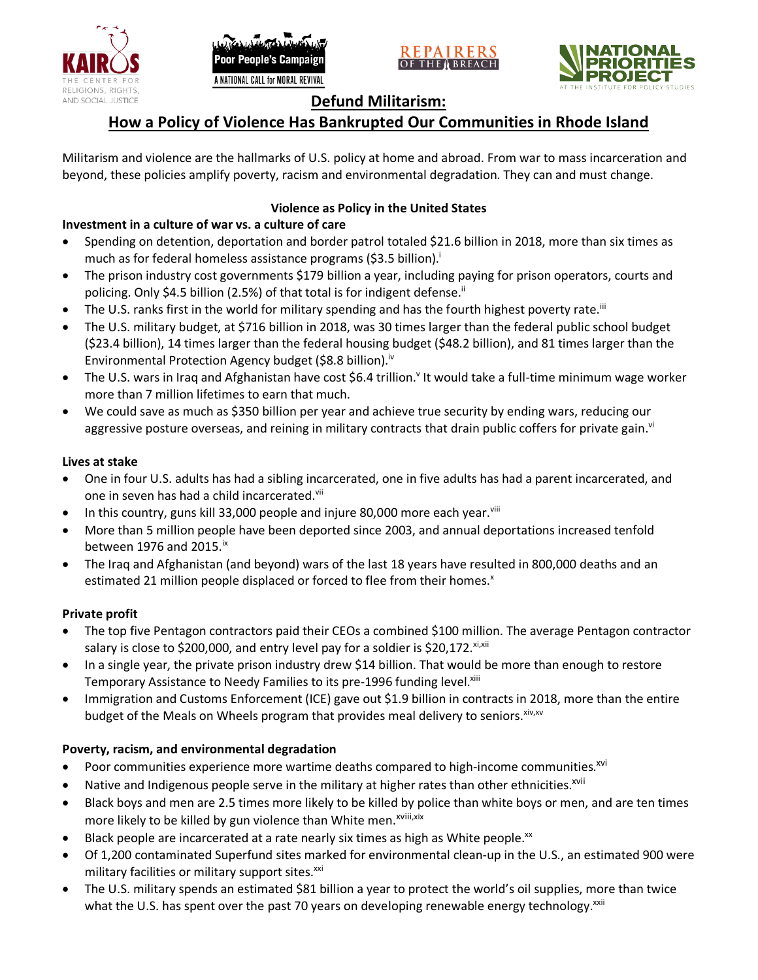





# **Defund Militarism:**

# **How a Policy of Violence Has Bankrupted Our Communities in Rhode Island**

Militarism and violence are the hallmarks of U.S. policy at home and abroad. From war to mass incarceration and beyond, these policies amplify poverty, racism and environmental degradation. They can and must change.

## **Violence as Policy in the United States**

# **Investment in a culture of war vs. a culture of care**

- Spending on detention, deportation and border patrol totaled \$21.6 billion in 2018, more than six times as much as for federal homeless assistance programs (\$3.5 billion).<sup>i</sup>
- The prison industry cost governments \$179 billion a year, including paying for prison operators, courts and policing. Only \$4.5 billion (2.5%) of that total is for indigent defense.<sup>ii</sup>
- The U.S. ranks first in the world for military spending and has the fourth highest poverty rate.<sup>iii</sup>
- The U.S. military budget, at \$716 billion in 2018, was 30 times larger than the federal public school budget (\$23.4 billion), 14 times larger than the federal housing budget (\$48.2 billion), and 81 times larger than the Environmental Protection Agency budget (\$8.8 billion).<sup>iv</sup>
- The U.S. wars in Iraq and Afghanistan have cost \$6.4 trillion.<sup>v</sup> It would take a full-time minimum wage worker more than 7 million lifetimes to earn that much.
- We could save as much as \$350 billion per year and achieve true security by ending wars, reducing our aggressive posture overseas, and reining in military contracts that drain public coffers for private gain.<sup>vi</sup>

### **Lives at stake**

- One in four U.S. adults has had a sibling incarcerated, one in five adults has had a parent incarcerated, and one in seven has had a child incarcerated.vii
- In this country, guns kill 33,000 people and injure 80,000 more each year. $v_{\text{lin}}$
- More than 5 million people have been deported since 2003, and annual deportations increased tenfold between 1976 and 2015. $\mathrm{i}$ <sup>x</sup>
- The Iraq and Afghanistan (and beyond) wars of the last 18 years have resulted in 800,000 deaths and an estimated 21 million people displaced or forced to flee from their homes.<sup>x</sup>

#### **Private profit**

- The top five Pentagon contractors paid their CEOs a combined \$100 million. The average Pentagon contractor salary is close to \$200,000, and entry level pay for a soldier is \$20,172. xi,xii
- In a single year, the private prison industry drew \$14 billion. That would be more than enough to restore Temporary Assistance to Needy Families to its pre-1996 funding level.<sup>xiii</sup>
- Immigration and Customs Enforcement (ICE) gave out \$1.9 billion in contracts in 2018, more than the entire budget of the Meals on Wheels program that provides meal delivery to seniors. Xiv, XV

## **Poverty, racism, and environmental degradation**

- Poor communities experience more wartime deaths compared to high-income communities.<sup>xvi</sup>
- Native and Indigenous people serve in the military at higher rates than other ethnicities.<sup>xvii</sup>
- Black boys and men are 2.5 times more likely to be killed by police than white boys or men, and are ten times more likely to be killed by gun violence than White men.<sup>xviii,xix</sup>
- Black people are incarcerated at a rate nearly six times as high as White people.<sup>xx</sup>
- Of 1,200 contaminated Superfund sites marked for environmental clean-up in the U.S., an estimated 900 were military facilities or military support sites.<sup>xxi</sup>
- The U.S. military spends an estimated \$81 billion a year to protect the world's oil supplies, more than twice what the U.S. has spent over the past 70 years on developing renewable energy technology.<sup>xxii</sup>